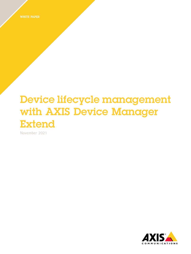WHITE PAPER

# Device lifecycle management with AXIS Device Manager Extend

**November 2021**

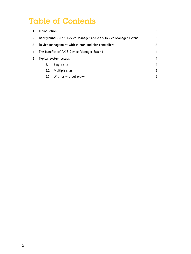## Table of Contents

|               | Introduction                                                    |                       | 3 |
|---------------|-----------------------------------------------------------------|-----------------------|---|
| $\mathcal{P}$ | Background - AXIS Device Manager and AXIS Device Manager Extend |                       | 3 |
| 3             | Device management with clients and site controllers             |                       | 3 |
| 4             | The benefits of AXIS Device Manager Extend                      |                       | 4 |
| 5             | Typical system setups                                           |                       | 4 |
|               | 5.1                                                             | Single site           | 4 |
|               | 5.2                                                             | Multiple sites        | 5 |
|               | 5.3                                                             | With or without proxy | 6 |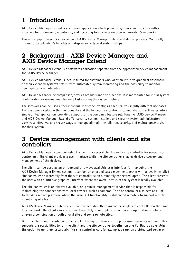## <span id="page-2-0"></span>1 Introduction

AXIS Device Manager Extend is <sup>a</sup> software application which provides system administrators with an interface for discovering, monitoring, and operating Axis devices on their organization's networks.

This white paper presents an overview of AXIS Device Manager Extend and its components. We briefly discuss the application's benefits and display some typical system setups.

#### 2 Background - AXIS Device Manager and AXIS Device Manager Extend

AXIS Device Manager Extend is <sup>a</sup> software application separate from the appreciated device management tool AXIS Device Manager.

AXIS Device Manager Extend is ideally suited for customers who want an intuitive graphical dashboard of their extended system's status, with automated system monitoring and the possibility to monitor geographically remote sites.

AXIS Device Manager, by comparison, offers <sup>a</sup> broader range of functions. It is more suited for initial system configuration or manual maintenance tasks during the system lifetime.

The softwares can be used either individually or concurrently, as each realizes slightly different use cases. There is some overlap in the functionality and the long-term intention is to migrate both softwares into <sup>a</sup> single united application, providing support for the combined feature set. Together, AXIS Device Manager and AXIS Device Manager Extend offer security system installers and security system administrators easy, cost-effective, and secure ways to manage all major installation, security, and maintenance tasks for their system.

#### 3 Device management with clients and site controllers

AXIS Device Manager Extend consists of <sup>a</sup> client (or several clients) and <sup>a</sup> site controller (or several site controllers). The client provides <sup>a</sup> user interface while the site controller enables device discovery and management of the devices.

The client can be used as an on-demand or always available user interface for managing the AXIS Device Manager Extend system. It can be run on <sup>a</sup> dedicated machine together with <sup>a</sup> locally installed site controller or separately from the site controller(s) on <sup>a</sup> remotely connected laptop. The client presents the user with an intuitive graphical interface where the overall status of the system is readily available.

The site controller is an always available, on-premise management service that is responsible for maintaining the connections with local devices, such as cameras. The site controller also acts as <sup>a</sup> link to the Axis service platform, where the same API functionality is abstracted remotely to support remote monitoring of sites.

An AXIS Device Manager Extend client can connect directly to manage <sup>a</sup> single site controller on the same local network. The client can also connect remotely to multiple sites across an organization's network, or even a combination of both a local site and some remote sites.

Both the client and the site controller are light weight in terms of the processing resources required. This supports the possibilities to run the client and the site controller together on one PC. But it also enables the option to run them separately. The site controller can, for example, be run on <sup>a</sup> virtualized server or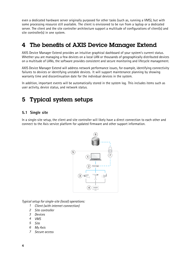<span id="page-3-0"></span>even <sup>a</sup> dedicated hardware server originally purposed for other tasks (such as, running <sup>a</sup> VMS), but with some processing resource still available. The client is envisioned to be run from <sup>a</sup> laptop or <sup>a</sup> dedicated server. The client and the site controller architecture support <sup>a</sup> multitude of configurations of client(s) and site controller(s) in one system.

### 4 The benefits of AXIS Device Manager Extend

AXIS Device Manager Extend provides an intuitive graphical dashboard of your system's current status. Whether you are managing <sup>a</sup> few devices on <sup>a</sup> local LAN or thousands of geographically distributed devices on <sup>a</sup> multitude of LANs, the software provides consistent and secure monitoring and lifecycle management.

AXIS Device Manager Extend will address network performance issues, for example, identifying connectivity failures to devices or identifying unstable devices. It will support maintenance planning by showing warranty time and discontinuation date for the individual devices in the system.

In addition, important events will be automatically stored in the system log. This includes items such as user activity, device status, and network status.

## 5 Typical system setups

#### **5.1 Single site**

In <sup>a</sup> single-site setup, the client and site controller will likely have <sup>a</sup> direct connection to each other and connect to the Axis service platform for updated firmware and other support information.



*Typical setup for single-site (local) operations:*

- *1 Client (with internet connection)*
- *2 Site controller*
- *3 Devices*
- *4 VMS*
- *5 Site*
- *6 My Axis*
- *7 Secure access*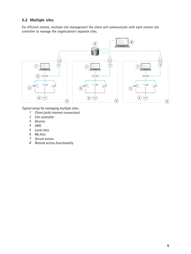#### <span id="page-4-0"></span>**5.2 Multiple sites**

For efficient remote, multiple-site management the client will communicate with each remote site controller to manage the organization's separate sites.



*Typical setup for managing multiple sites:*

- *1 Client (with internet connection)*
- *2 Site controller*
- *3 Devices*
- *4 VMS*
- *5 Local sites*
- *6 My Axis*
- *7 Secure access*
- *8 Remote access functionality*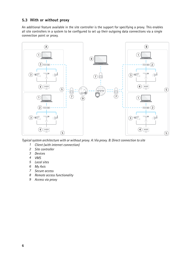#### <span id="page-5-0"></span>**5.3 With or without proxy**

An additional feature available in the site controller is the support for specifying <sup>a</sup> proxy. This enables all site controllers in <sup>a</sup> system to be configured to set up their outgoing data connections via <sup>a</sup> single connection point or proxy.



*Typical system architecture with or without proxy. A: Via proxy. B: Direct connection to site*

- *1 Client (with internet connection)*
- *2 Site controller*
- *3 Devices*
- *4 VMS*
- *5 Local sites*
- *6 My Axis*
- *7 Secure access*
- *8 Remote access functionality*
- *9 Access via proxy*